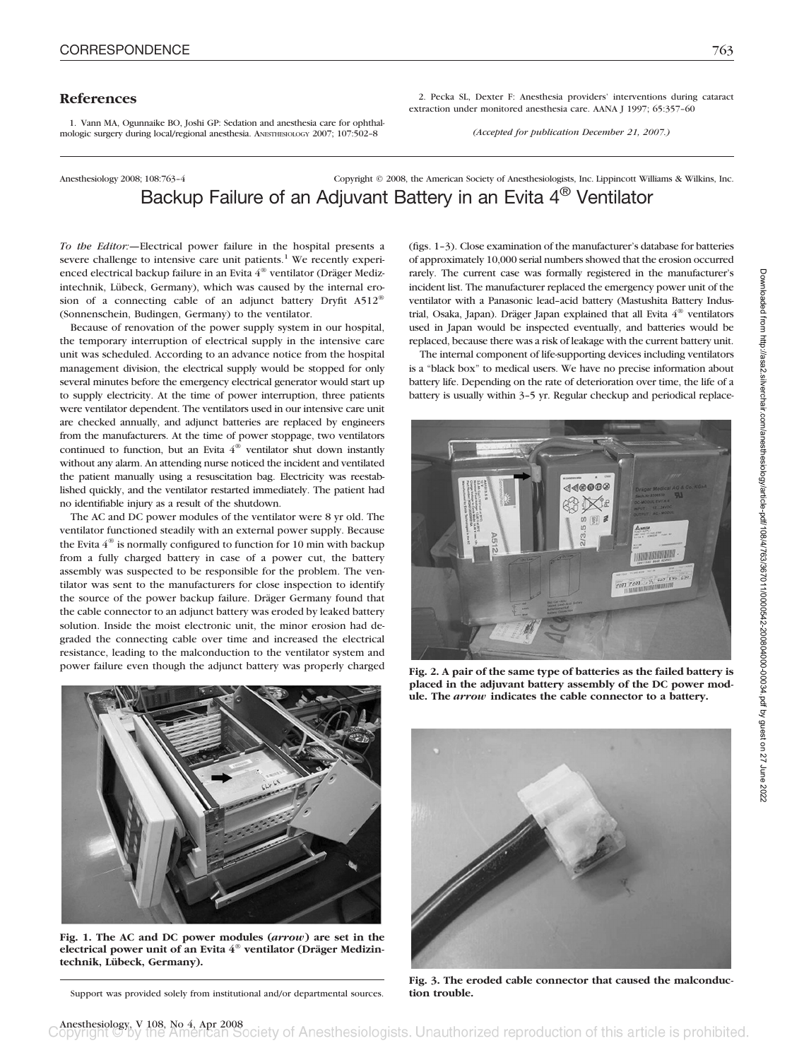## **References**

1. Vann MA, Ogunnaike BO, Joshi GP: Sedation and anesthesia care for ophthalmologic surgery during local/regional anesthesia. ANESTHESIOLOGY 2007; 107:502–8

2. Pecka SL, Dexter F: Anesthesia providers' interventions during cataract extraction under monitored anesthesia care. AANA J 1997; 65:357–60

*(Accepted for publication December 21, 2007.)*

## Anesthesiology 2008; 108:763-4 Copyright © 2008, the American Society of Anesthesiologists, Inc. Lippincott Williams & Wilkins, Inc. Backup Failure of an Adjuvant Battery in an Evita 4® Ventilator

*To the Editor:—*Electrical power failure in the hospital presents a severe challenge to intensive care unit patients.<sup>1</sup> We recently experienced electrical backup failure in an Evita  $4^{\circ}$  ventilator (Dräger Medizintechnik, Lübeck, Germany), which was caused by the internal erosion of a connecting cable of an adjunct battery Dryfit A512® (Sonnenschein, Budingen, Germany) to the ventilator.

Because of renovation of the power supply system in our hospital, the temporary interruption of electrical supply in the intensive care unit was scheduled. According to an advance notice from the hospital management division, the electrical supply would be stopped for only several minutes before the emergency electrical generator would start up to supply electricity. At the time of power interruption, three patients were ventilator dependent. The ventilators used in our intensive care unit are checked annually, and adjunct batteries are replaced by engineers from the manufacturers. At the time of power stoppage, two ventilators continued to function, but an Evita  $4^{\circledast}$  ventilator shut down instantly without any alarm. An attending nurse noticed the incident and ventilated the patient manually using a resuscitation bag. Electricity was reestablished quickly, and the ventilator restarted immediately. The patient had no identifiable injury as a result of the shutdown.

The AC and DC power modules of the ventilator were 8 yr old. The ventilator functioned steadily with an external power supply. Because the Evita  $4^{\circledast}$  is normally configured to function for 10 min with backup from a fully charged battery in case of a power cut, the battery assembly was suspected to be responsible for the problem. The ventilator was sent to the manufacturers for close inspection to identify the source of the power backup failure. Dräger Germany found that the cable connector to an adjunct battery was eroded by leaked battery solution. Inside the moist electronic unit, the minor erosion had degraded the connecting cable over time and increased the electrical resistance, leading to the malconduction to the ventilator system and power failure even though the adjunct battery was properly charged

(figs. 1–3). Close examination of the manufacturer's database for batteries of approximately 10,000 serial numbers showed that the erosion occurred rarely. The current case was formally registered in the manufacturer's incident list. The manufacturer replaced the emergency power unit of the ventilator with a Panasonic lead–acid battery (Mastushita Battery Industrial, Osaka, Japan). Dräger Japan explained that all Evita  $4^\circ$  ventilators used in Japan would be inspected eventually, and batteries would be replaced, because there was a risk of leakage with the current battery unit.

The internal component of life-supporting devices including ventilators is a "black box" to medical users. We have no precise information about battery life. Depending on the rate of deterioration over time, the life of a battery is usually within 3–5 yr. Regular checkup and periodical replace-





**Fig. 1. The AC and DC power modules (***arrow***) are set in the** electrical power unit of an Evita 4<sup>®</sup> ventilator (Dräger Medizintechnik, Lübeck, Germany).

Support was provided solely from institutional and/or departmental sources.





**Fig. 3. The eroded cable connector that caused the malconduction trouble.**

Anesthesiology, V 108, No 4, Apr 2008<br> **Example:** C by the American Society of Anesthesiologists. Unauthorized reproduction of this article is prohibited.